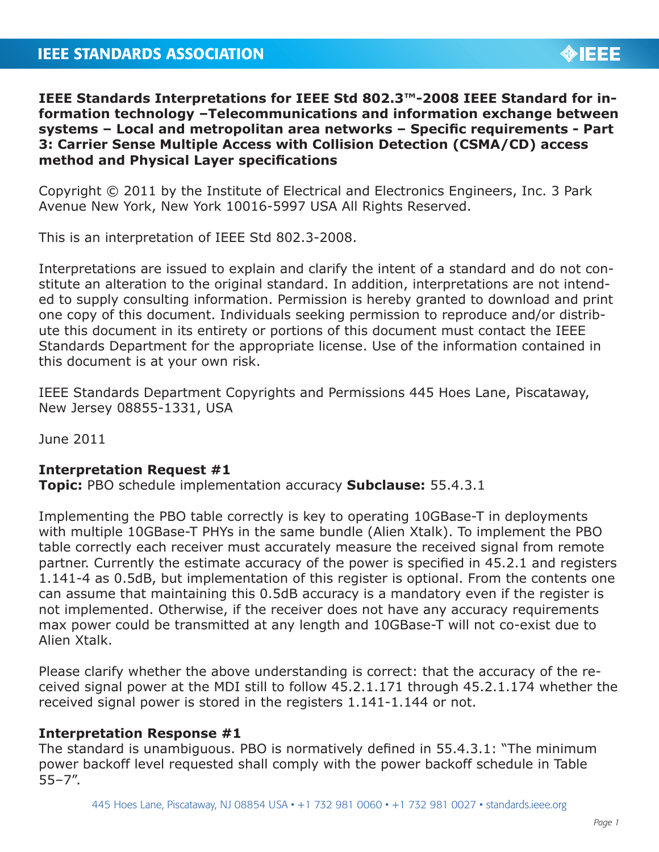# **IEEE STANDARDS ASSOCIATION**



**IEEE Standards Interpretations for IEEE Std 802.3™-2008 IEEE Standard for information technology –Telecommunications and information exchange between systems – Local and metropolitan area networks – Specific requirements - Part 3: Carrier Sense Multiple Access with Collision Detection (CSMA/CD) access method and Physical Layer specifications**

Copyright © 2011 by the Institute of Electrical and Electronics Engineers, Inc. 3 Park Avenue New York, New York 10016-5997 USA All Rights Reserved.

This is an interpretation of IEEE Std 802.3-2008.

Interpretations are issued to explain and clarify the intent of a standard and do not constitute an alteration to the original standard. In addition, interpretations are not intended to supply consulting information. Permission is hereby granted to download and print one copy of this document. Individuals seeking permission to reproduce and/or distribute this document in its entirety or portions of this document must contact the IEEE Standards Department for the appropriate license. Use of the information contained in this document is at your own risk.

IEEE Standards Department Copyrights and Permissions 445 Hoes Lane, Piscataway, New Jersey 08855-1331, USA

June 2011

### **Interpretation Request #1**

**Topic:** PBO schedule implementation accuracy **Subclause:** 55.4.3.1

Implementing the PBO table correctly is key to operating 10GBase-T in deployments with multiple 10GBase-T PHYs in the same bundle (Alien Xtalk). To implement the PBO table correctly each receiver must accurately measure the received signal from remote partner. Currently the estimate accuracy of the power is specified in 45.2.1 and registers 1.141-4 as 0.5dB, but implementation of this register is optional. From the contents one can assume that maintaining this 0.5dB accuracy is a mandatory even if the register is not implemented. Otherwise, if the receiver does not have any accuracy requirements max power could be transmitted at any length and 10GBase-T will not co-exist due to Alien Xtalk.

Please clarify whether the above understanding is correct: that the accuracy of the received signal power at the MDI still to follow 45.2.1.171 through 45.2.1.174 whether the received signal power is stored in the registers 1.141-1.144 or not.

### **Interpretation Response #1**

The standard is unambiguous. PBO is normatively defined in 55.4.3.1: "The minimum power backoff level requested shall comply with the power backoff schedule in Table 55–7".